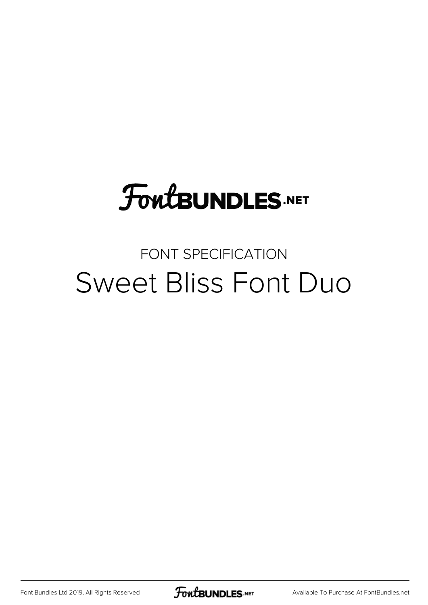# **FoutBUNDLES.NET**

### FONT SPECIFICATION Sweet Bliss Font Duo

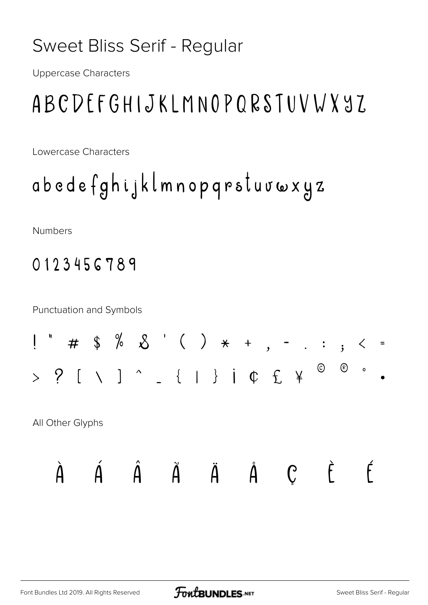### Sweet Bliss Serif - Regular

**Uppercase Characters** 

### ABCDEFGHIJKLMNOPQRSTUVWY97.

Lowercase Characters

abedefghijklmnopqrstuvwxyz

**Numbers** 

### 0123456789

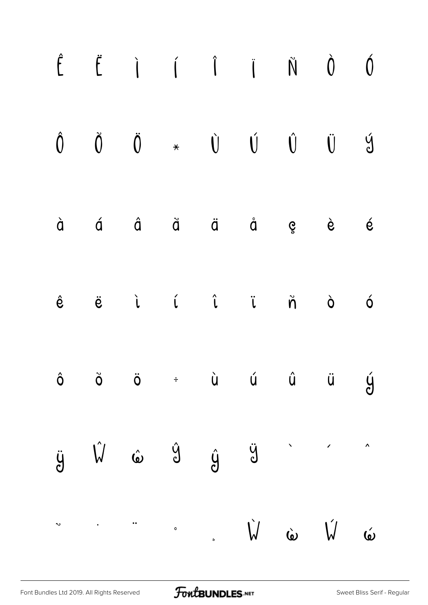| $\hat{\mathsf{E}}$ |  |  | $\ddot{E}$ i i i $\ddot{N}$ 0 0                                                                                                                                                                                                                                                                                                                                                                                                                                                                                                                           |  |  |
|--------------------|--|--|-----------------------------------------------------------------------------------------------------------------------------------------------------------------------------------------------------------------------------------------------------------------------------------------------------------------------------------------------------------------------------------------------------------------------------------------------------------------------------------------------------------------------------------------------------------|--|--|
|                    |  |  | $\begin{matrix} \hat{0} & \check{0} & \check{0} & \star & \check{0} & \check{0} & \check{0} & \check{0} & \check{0} & \check{0} \end{matrix}$                                                                                                                                                                                                                                                                                                                                                                                                             |  |  |
|                    |  |  | à á â ã ä å ç è é                                                                                                                                                                                                                                                                                                                                                                                                                                                                                                                                         |  |  |
|                    |  |  | $\hat{e} \qquad \ddot{e} \qquad \dot{\iota} \qquad \hat{\iota} \qquad \ddot{\iota} \qquad \ddot{\eta} \qquad \dot{\circ} \qquad \dot{\circ}$                                                                                                                                                                                                                                                                                                                                                                                                              |  |  |
|                    |  |  | $\hat{o}$ $\ddot{o}$ $\ddot{o}$ $\div$ $\dot{u}$ $\dot{u}$ $\ddot{u}$ $\ddot{y}$                                                                                                                                                                                                                                                                                                                                                                                                                                                                          |  |  |
|                    |  |  | $\ddot{y} \quad \hat{V} \quad \hat{\omega} \quad \hat{y} \quad \dot{y} \quad \hat{\omega} \qquad \hat{\omega} \qquad \hat{\omega} \qquad \hat{\omega} \qquad \hat{\omega} \qquad \hat{\omega} \qquad \hat{\omega} \qquad \hat{\omega} \qquad \hat{\omega} \qquad \hat{\omega} \qquad \hat{\omega} \qquad \hat{\omega} \qquad \hat{\omega} \qquad \hat{\omega} \qquad \hat{\omega} \qquad \hat{\omega} \qquad \hat{\omega} \qquad \hat{\omega} \qquad \hat{\omega} \qquad \hat{\omega} \qquad \hat{\omega} \qquad \hat{\omega} \qquad \hat{\omega} \qquad$ |  |  |
|                    |  |  | $\sim$ $\dot{W}$ $\dot{\omega}$ $\dot{W}$ $\dot{\omega}$                                                                                                                                                                                                                                                                                                                                                                                                                                                                                                  |  |  |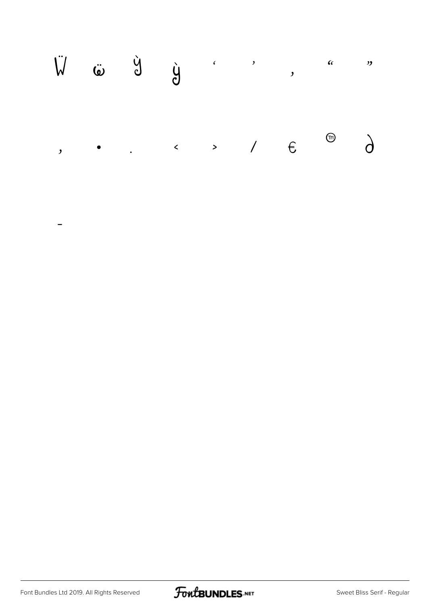

 $\overline{\phantom{0}}$ 

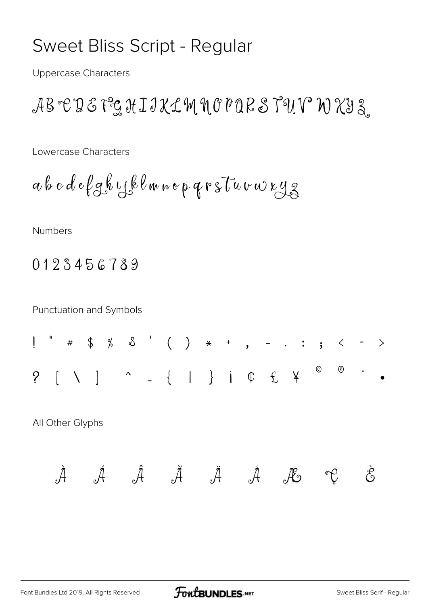#### Sweet Bliss Script - Regular

**Uppercase Characters** 

ABETE PEHIJKLM NOPORSTUV WXY3

Lowercase Characters

Numbers

0123456789

**Punctuation and Symbols** 

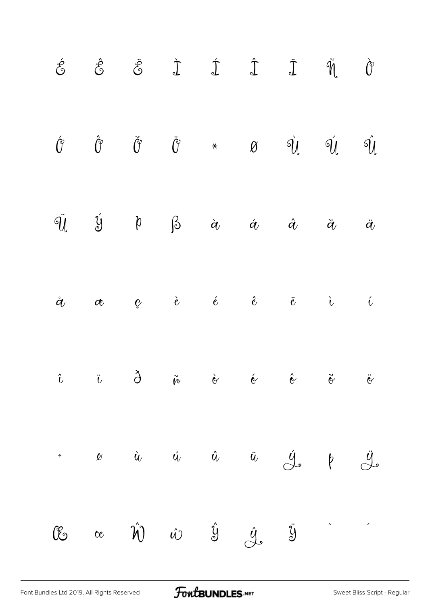|  |  |  | $\label{eq:2.1} \begin{array}{ccccccccccccc} \acute{c} & \hat{c} & \hat{c} & \ddot{c} & \dot{\mathbb{J}} & \dot{\mathbb{J}} & \hat{\mathbb{J}} & \hat{\mathbb{J}} & \hat{\mathbb{J}} & \hat{\mathbb{J}} & \hat{\mathbb{J}} \end{array}$                                                                                                                                                                                                                                                                                                       |                 |
|--|--|--|-----------------------------------------------------------------------------------------------------------------------------------------------------------------------------------------------------------------------------------------------------------------------------------------------------------------------------------------------------------------------------------------------------------------------------------------------------------------------------------------------------------------------------------------------|-----------------|
|  |  |  | $\acute{\theta} \qquad \  \  \, \mathring{\theta} \qquad \qquad \  \  \, \mathring{\theta} \qquad \qquad \  \  \, \mathring{\theta} \qquad \qquad \ast \qquad \quad \  \  \, \theta \qquad \quad \  \  \, \mathring{\theta} \qquad \quad \  \  \, \mathring{\theta} \qquad \quad \  \  \, \mathring{\theta} \qquad \quad \  \, \mathring{\theta} \qquad \quad \  \, \mathring{\theta} \qquad \qquad \  \, \mathring{\theta} \qquad \quad \  \, \mathring{\theta} \qquad \quad \  \, \mathring{\theta} \qquad \quad \  \, \mathring{\theta} \$ |                 |
|  |  |  | $\ddot{q}$ $\ddot{y}$ $\beta$ $\dot{\alpha}$ $\dot{\alpha}$ $\ddot{\alpha}$                                                                                                                                                                                                                                                                                                                                                                                                                                                                   | $\ddot{\bm{a}}$ |
|  |  |  | $\dot{c}$ $\dot{c}$ $\dot{c}$ $\dot{c}$ $\ddot{c}$ $\ddot{c}$ $\ddot{c}$ $\ddot{c}$                                                                                                                                                                                                                                                                                                                                                                                                                                                           | $\hat{t}$       |
|  |  |  | $\ddot{\theta}$ is $\ddot{\theta}$ in $\ddot{\theta}$ is $\ddot{\theta}$ is $\ddot{\theta}$ is $\ddot{\theta}$                                                                                                                                                                                                                                                                                                                                                                                                                                |                 |
|  |  |  | $\vdots$ $\omega$ $\dot{u}$ $\dot{u}$ $\ddot{u}$ $\frac{\dot{u}}{\dot{v}}$ $\phi$ $\frac{\ddot{u}}{\dot{v}}$                                                                                                                                                                                                                                                                                                                                                                                                                                  |                 |
|  |  |  | $\mathbb{C}$ $\alpha$ $\hat{\mathcal{W}}$ $\hat{\omega}$ $\hat{\mathcal{Y}}$ $\hat{\mathcal{Y}}$ $\hat{\mathcal{Y}}$                                                                                                                                                                                                                                                                                                                                                                                                                          |                 |

[Font Bundles Ltd 2019. All Rights Reserved](https://fontbundles.net/) **FoutBUNDLES.NET** [Sweet Bliss Script - Regular](https://fontbundles.net/)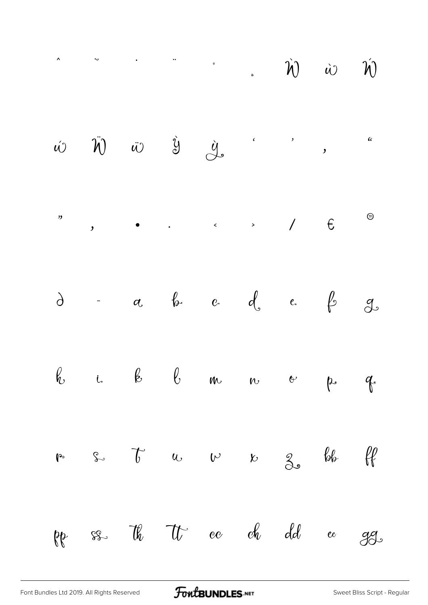$$
\hat{\mathbf{w}} \quad \hat{\mathbf{w}} \quad \hat{\mathbf{w}} \quad \hat{\mathbf{w}} \quad \hat{\mathbf{w}} \quad \hat{\mathbf{w}}
$$



FoutBUNDLES.NET